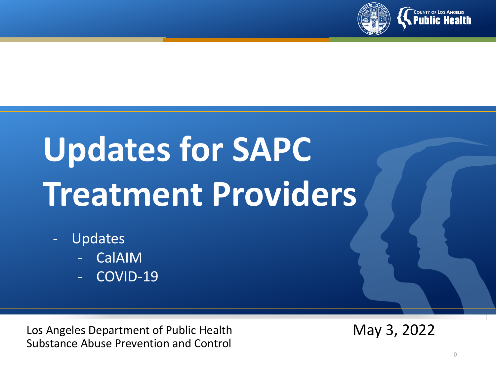

# **Updates for SAPC Treatment Providers**

- **Updates** 
	- **CalAIM**
	- COVID-19

Los Angeles Department of Public Health Substance Abuse Prevention and Control

May 3, 2022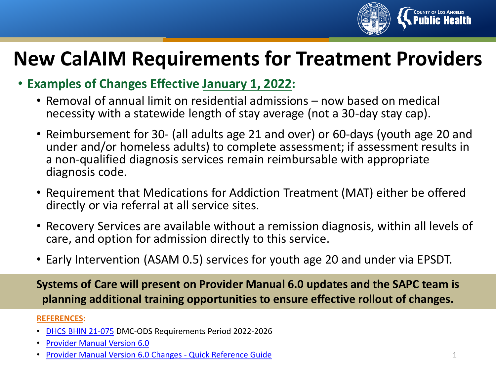

#### **New CalAIM Requirements for Treatment Providers**

- **Examples of Changes Effective January 1, 2022:**
	- Removal of annual limit on residential admissions now based on medical necessity with a statewide length of stay average (not a 30-day stay cap).
	- Reimbursement for 30- (all adults age 21 and over) or 60-days (youth age 20 and under and/or homeless adults) to complete assessment; if assessment results in a non-qualified diagnosis services remain reimbursable with appropriate diagnosis code.
	- Requirement that Medications for Addiction Treatment (MAT) either be offered directly or via referral at all service sites.
	- Recovery Services are available without a remission diagnosis, within all levels of care, and option for admission directly to this service.
	- Early Intervention (ASAM 0.5) services for youth age 20 and under via EPSDT.

**Systems of Care will present on Provider Manual 6.0 updates and the SAPC team is planning additional training opportunities to ensure effective rollout of changes.** 

#### **REFERENCES:**

- [DHCS BHIN](https://www.dhcs.ca.gov/Documents/BHIN-21-075-DMC-ODS-Requirements-for-the-Period-2022-2026.pdf) 21-075 DMC-ODS Requirements Period 2022-2026
- [Provider Manual Version 6.0](http://publichealth.lacounty.gov/sapc/NetworkProviders/Privacy/SAPCProviderManual6.0.pdf)
- [Provider Manual Version 6.0 Changes -](http://publichealth.lacounty.gov/sapc/NetworkProviders/Privacy/ProviderManualV6.0QuickReferenceGuide.pdf) Quick Reference Guide 1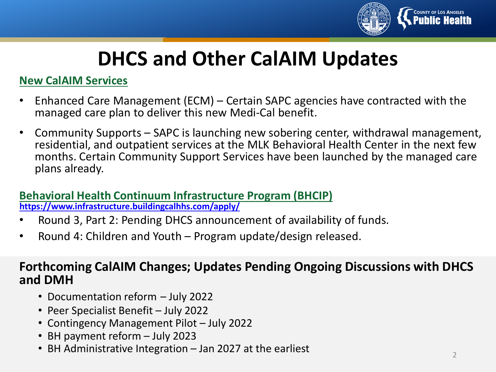

### **DHCS and Other CalAIM Updates**

#### **New CalAIM Services**

- Enhanced Care Management (ECM) Certain SAPC agencies have contracted with the managed care plan to deliver this new Medi-Cal benefit.
- Community Supports SAPC is launching new sobering center, withdrawal management, residential, and outpatient services at the MLK Behavioral Health Center in the next few months. Certain Community Support Services have been launched by the managed care plans already.

#### **Behavioral Health Continuum Infrastructure Program (BHCIP) <https://www.infrastructure.buildingcalhhs.com/apply/>**

- Round 3, Part 2: Pending DHCS announcement of availability of funds.
- Round 4: Children and Youth Program update/design released.

#### **Forthcoming CalAIM Changes; Updates Pending Ongoing Discussions with DHCS and DMH**

- Documentation reform July 2022
- Peer Specialist Benefit July 2022
- Contingency Management Pilot July 2022
- BH payment reform July 2023
- BH Administrative Integration Jan 2027 at the earliest  $2$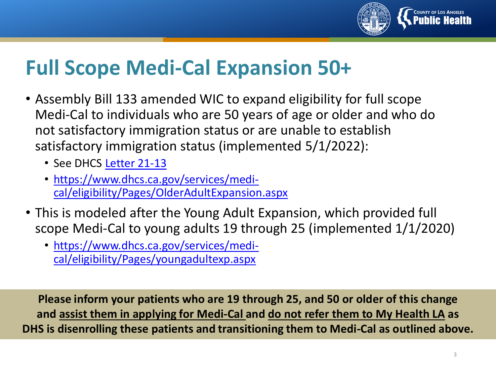

### **Full Scope Medi-Cal Expansion 50+**

- Assembly Bill 133 amended WIC to expand eligibility for full scope Medi-Cal to individuals who are 50 years of age or older and who do not satisfactory immigration status or are unable to establish satisfactory immigration status (implemented 5/1/2022):
	- See DHCS [Letter 21-13](https://www.dhcs.ca.gov/services/medi-cal/eligibility/letters/Documents/21-13.pdf)
	- https://www.dhcs.ca.gov/services/medi[cal/eligibility/Pages/OlderAdultExpansion.aspx](https://www.dhcs.ca.gov/services/medi-cal/eligibility/Pages/OlderAdultExpansion.aspx)
- This is modeled after the Young Adult Expansion, which provided full scope Medi-Cal to young adults 19 through 25 (implemented 1/1/2020)
	- [https://www.dhcs.ca.gov/services/medi](https://www.dhcs.ca.gov/services/medi-cal/eligibility/Pages/youngadultexp.aspx)cal/eligibility/Pages/youngadultexp.aspx

**Please inform your patients who are 19 through 25, and 50 or older of this change and assist them in applying for Medi-Cal and do not refer them to My Health LA as DHS is disenrolling these patients and transitioning them to Medi-Cal as outlined above.**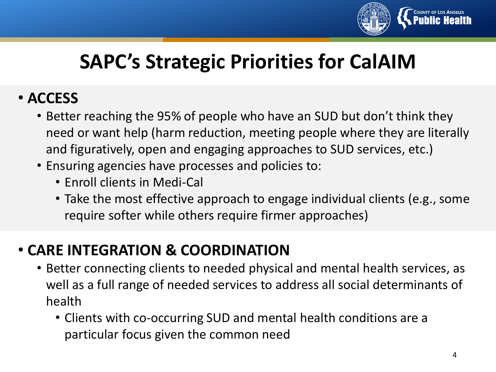

### **SAPC's Strategic Priorities for CalAIM**

#### • **ACCESS**

- Better reaching the 95% of people who have an SUD but don't think they need or want help (harm reduction, meeting people where they are literally and figuratively, open and engaging approaches to SUD services, etc.)
- Ensuring agencies have processes and policies to:
	- Enroll clients in Medi-Cal
	- Take the most effective approach to engage individual clients (e.g., some require softer while others require firmer approaches)

#### • **CARE INTEGRATION & COORDINATION**

- Better connecting clients to needed physical and mental health services, as well as a full range of needed services to address all social determinants of health
	- Clients with co-occurring SUD and mental health conditions are a particular focus given the common need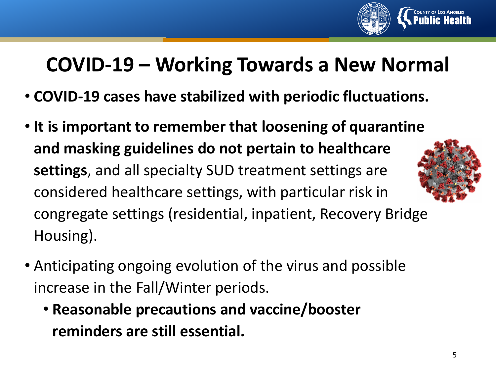

### **COVID-19 – Working Towards a New Normal**

- **COVID-19 cases have stabilized with periodic fluctuations.**
- **It is important to remember that loosening of quarantine and masking guidelines do not pertain to healthcare settings**, and all specialty SUD treatment settings are considered healthcare settings, with particular risk in congregate settings (residential, inpatient, Recovery Bridge Housing).
- Anticipating ongoing evolution of the virus and possible increase in the Fall/Winter periods.
	- **Reasonable precautions and vaccine/booster reminders are still essential.**